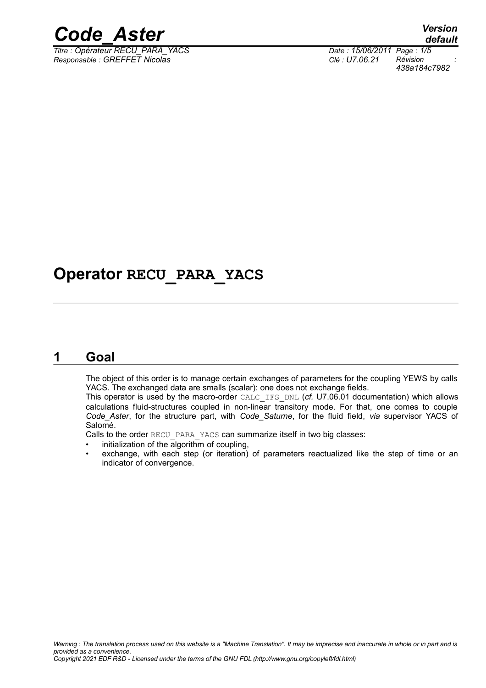

*Titre : Opérateur RECU\_PARA\_YACS Date : 15/06/2011 Page : 1/5 Responsable : GREFFET Nicolas Clé : U7.06.21 Révision :*

*438a184c7982*

## **Operator RECU\_PARA\_YACS**

#### **1 Goal**

The object of this order is to manage certain exchanges of parameters for the coupling YEWS by calls YACS. The exchanged data are smalls (scalar): one does not exchange fields.

This operator is used by the macro-order CALC\_IFS\_DNL (*cf.* U7.06.01 documentation) which allows calculations fluid-structures coupled in non-linear transitory mode. For that, one comes to couple *Code\_Aster*, for the structure part, with *Code\_Saturne*, for the fluid field, *via* supervisor YACS of Salomé.

Calls to the order RECU\_PARA\_YACS can summarize itself in two big classes:

- initialization of the algorithm of coupling,
- exchange, with each step (or iteration) of parameters reactualized like the step of time or an indicator of convergence.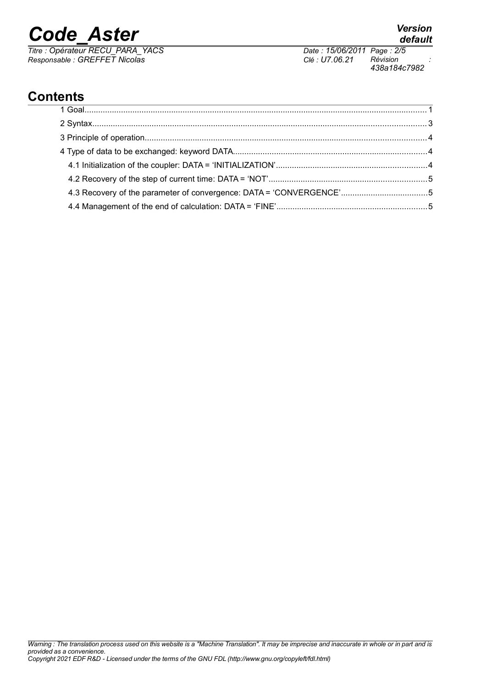# *Code\_Aster Version*

*Titre : Opérateur RECU\_PARA\_YACS Date : 15/06/2011 Page : 2/5 Responsable : GREFFET Nicolas Clé : U7.06.21 Révision :*

*438a184c7982*

## **Contents**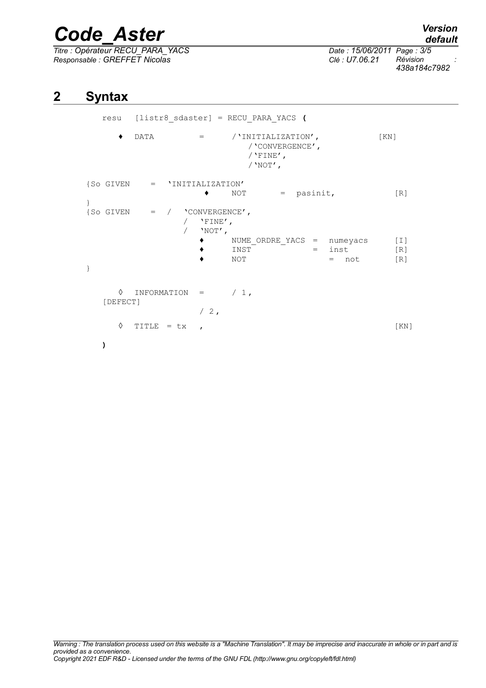## *Code\_Aster Version*

*Titre : Opérateur RECU\_PARA\_YACS Date : 15/06/2011 Page : 3/5 Responsable : GREFFET Nicolas Clé : U7.06.21 Révision :*

*438a184c7982*

### **2 Syntax**

```
resu [listr8_sdaster] = RECU_PARA_YACS (
     ♦ DATA = /'INITIALIZATION', [KN]
                         /'CONVERGENCE',
                         /'FINE',
                         /'NOT',
{S} GIVEN = 'INITIALIZATION'
                  \bullet NOT = pasinit, [R]}
{S}O GIVEN = / 'CONVERGENCE',
               / 'FINE',
               / 'NOT',
                 ♦ NUME_ORDRE_YACS = numeyacs [I]
                 \bullet INST ^{\circ} = inst [R]
                 \bullet NOT = not [{\rm R}]}
     \Diamond INFORMATION = / 1,
  [DEFECT]
                 /2,
     \Diamond TITLE = tx , [KN]
  )
```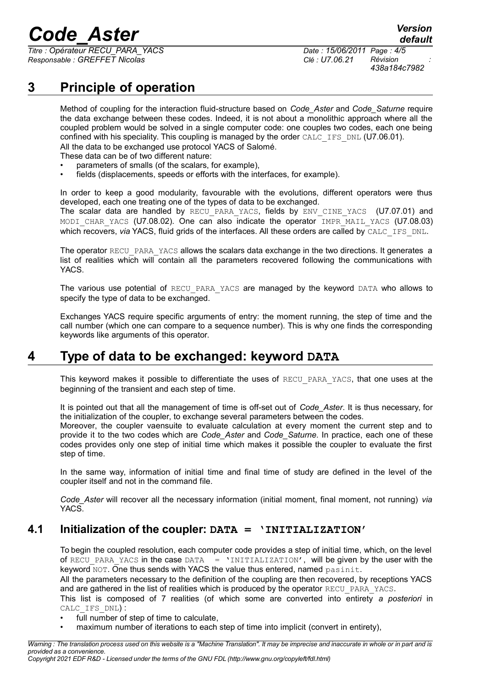## *Code\_Aster Version*

*Titre : Opérateur RECU\_PARA\_YACS Date : 15/06/2011 Page : 4/5 Responsable : GREFFET Nicolas Clé : U7.06.21 Révision :*

*438a184c7982*

*default*

## **3 Principle of operation**

Method of coupling for the interaction fluid-structure based on *Code\_Aster* and *Code\_Saturne* require the data exchange between these codes. Indeed, it is not about a monolithic approach where all the coupled problem would be solved in a single computer code: one couples two codes, each one being confined with his speciality. This coupling is managed by the order CALC\_IFS\_DNL (U7.06.01). All the data to be exchanged use protocol YACS of Salomé.

These data can be of two different nature:

- parameters of smalls (of the scalars, for example),
- fields (displacements, speeds or efforts with the interfaces, for example).

In order to keep a good modularity, favourable with the evolutions, different operators were thus developed, each one treating one of the types of data to be exchanged.

The scalar data are handled by RECU PARA YACS, fields by ENV CINE YACS (U7.07.01) and MODI CHAR YACS (U7.08.02). One can also indicate the operator IMPR MAIL YACS (U7.08.03) which recovers, *via* YACS, fluid grids of the interfaces. All these orders are called by CALC\_IFS\_DNL.

The operator RECU\_PARA\_YACS allows the scalars data exchange in the two directions. It generates a list of realities which will contain all the parameters recovered following the communications with YACS.

The various use potential of RECU PARA YACS are managed by the keyword DATA who allows to specify the type of data to be exchanged.

Exchanges YACS require specific arguments of entry: the moment running, the step of time and the call number (which one can compare to a sequence number). This is why one finds the corresponding keywords like arguments of this operator.

### **4 Type of data to be exchanged: keyword DATA**

This keyword makes it possible to differentiate the uses of RECU\_PARA\_YACS, that one uses at the beginning of the transient and each step of time.

It is pointed out that all the management of time is off-set out of *Code\_Aster*. It is thus necessary, for the initialization of the coupler, to exchange several parameters between the codes.

Moreover, the coupler vaensuite to evaluate calculation at every moment the current step and to provide it to the two codes which are *Code\_Aster* and *Code\_Saturne*. In practice, each one of these codes provides only one step of initial time which makes it possible the coupler to evaluate the first step of time.

In the same way, information of initial time and final time of study are defined in the level of the coupler itself and not in the command file.

*Code\_Aster* will recover all the necessary information (initial moment, final moment, not running) *via* YACS.

#### **4.1 Initialization of the coupler: DATA = 'INITIALIZATION'**

To begin the coupled resolution, each computer code provides a step of initial time, which, on the level of RECU PARA YACS in the case DATA  $=$  'INITIALIZATION', will be given by the user with the keyword NOT. One thus sends with YACS the value thus entered, named pasinit.

All the parameters necessary to the definition of the coupling are then recovered, by receptions YACS and are gathered in the list of realities which is produced by the operator RECU\_PARA\_YACS.

This list is composed of 7 realities (of which some are converted into entirety *a posteriori* in CALC\_IFS\_DNL) :

full number of step of time to calculate,

• maximum number of iterations to each step of time into implicit (convert in entirety),